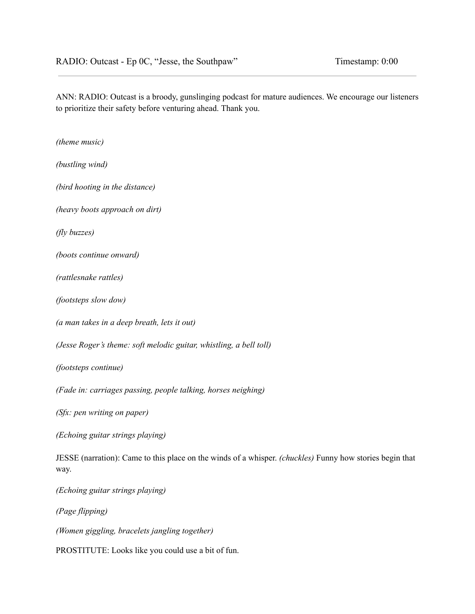ANN: RADIO: Outcast is a broody, gunslinging podcast for mature audiences. We encourage our listeners to prioritize their safety before venturing ahead. Thank you.

*(theme music)*

*(bustling wind)*

*(bird hooting in the distance)*

*(heavy boots approach on dirt)*

*(fly buzzes)*

*(boots continue onward)*

*(rattlesnake rattles)*

*(footsteps slow dow)*

*(a man takes in a deep breath, lets it out)*

*(Jesse Roger's theme: soft melodic guitar, whistling, a bell toll)*

*(footsteps continue)*

*(Fade in: carriages passing, people talking, horses neighing)*

*(Sfx: pen writing on paper)*

*(Echoing guitar strings playing)*

JESSE (narration): Came to this place on the winds of a whisper. *(chuckles)* Funny how stories begin that way.

*(Echoing guitar strings playing)*

*(Page flipping)*

*(Women giggling, bracelets jangling together)*

PROSTITUTE: Looks like you could use a bit of fun.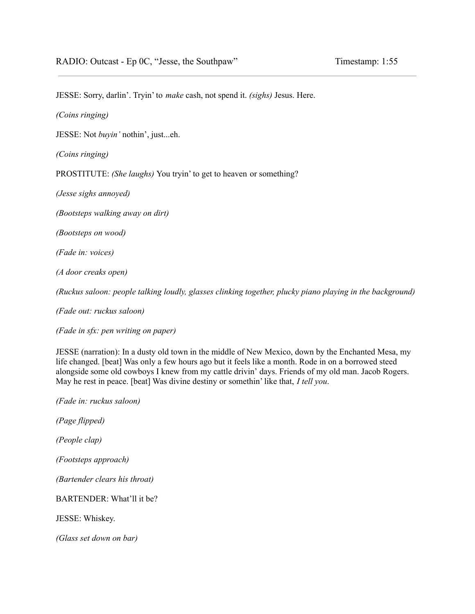JESSE: Sorry, darlin'. Tryin' to *make* cash, not spend it. *(sighs)* Jesus. Here.

*(Coins ringing)*

JESSE: Not *buyin'* nothin', just...eh.

*(Coins ringing)*

PROSTITUTE: *(She laughs)* You tryin' to get to heaven or something?

*(Jesse sighs annoyed)*

*(Bootsteps walking away on dirt)*

*(Bootsteps on wood)*

*(Fade in: voices)*

*(A door creaks open)*

*(Ruckus saloon: people talking loudly, glasses clinking together, plucky piano playing in the background)*

*(Fade out: ruckus saloon)*

*(Fade in sfx: pen writing on paper)*

JESSE (narration): In a dusty old town in the middle of New Mexico, down by the Enchanted Mesa, my life changed. [beat] Was only a few hours ago but it feels like a month. Rode in on a borrowed steed alongside some old cowboys I knew from my cattle drivin' days. Friends of my old man. Jacob Rogers. May he rest in peace. [beat] Was divine destiny or somethin' like that, *I tell you*.

*(Fade in: ruckus saloon)*

*(Page flipped)*

*(People clap)*

*(Footsteps approach)*

*(Bartender clears his throat)*

BARTENDER: What'll it be?

JESSE: Whiskey.

*(Glass set down on bar)*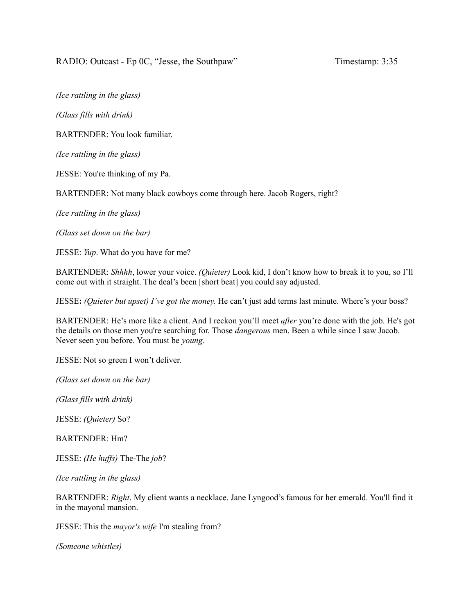*(Ice rattling in the glass)*

*(Glass fills with drink)*

BARTENDER: You look familiar.

*(Ice rattling in the glass)*

JESSE: You're thinking of my Pa.

BARTENDER: Not many black cowboys come through here. Jacob Rogers, right?

*(Ice rattling in the glass)*

*(Glass set down on the bar)*

JESSE: *Yup*. What do you have for me?

BARTENDER: *Shhhh*, lower your voice. *(Quieter)* Look kid, I don't know how to break it to you, so I'll come out with it straight. The deal's been [short beat] you could say adjusted.

JESSE**:** *(Quieter but upset) I've got the money.* He can't just add terms last minute. Where's your boss?

BARTENDER: He's more like a client. And I reckon you'll meet *after* you're done with the job. He's got the details on those men you're searching for. Those *dangerous* men. Been a while since I saw Jacob. Never seen you before. You must be *young*.

JESSE: Not so green I won't deliver.

*(Glass set down on the bar)*

*(Glass fills with drink)*

JESSE: *(Quieter)* So?

BARTENDER: Hm?

JESSE: *(He huffs)* The-The *job*?

*(Ice rattling in the glass)*

BARTENDER: *Right*. My client wants a necklace. Jane Lyngood's famous for her emerald. You'll find it in the mayoral mansion.

JESSE: This the *mayor's wife* I'm stealing from?

*(Someone whistles)*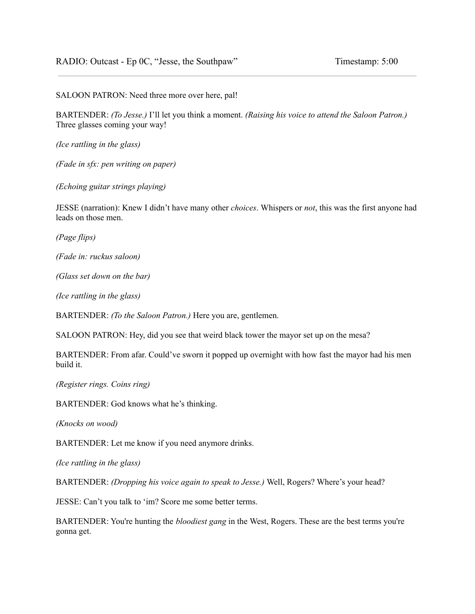SALOON PATRON: Need three more over here, pal!

BARTENDER: *(To Jesse.)* I'll let you think a moment. *(Raising his voice to attend the Saloon Patron.)* Three glasses coming your way!

*(Ice rattling in the glass)*

*(Fade in sfx: pen writing on paper)*

*(Echoing guitar strings playing)*

JESSE (narration): Knew I didn't have many other *choices*. Whispers or *not*, this was the first anyone had leads on those men.

*(Page flips)*

*(Fade in: ruckus saloon)*

*(Glass set down on the bar)*

*(Ice rattling in the glass)*

BARTENDER: *(To the Saloon Patron.)* Here you are, gentlemen.

SALOON PATRON: Hey, did you see that weird black tower the mayor set up on the mesa?

BARTENDER: From afar. Could've sworn it popped up overnight with how fast the mayor had his men build it.

*(Register rings. Coins ring)*

BARTENDER: God knows what he's thinking.

*(Knocks on wood)*

BARTENDER: Let me know if you need anymore drinks.

*(Ice rattling in the glass)*

BARTENDER: *(Dropping his voice again to speak to Jesse.)* Well, Rogers? Where's your head?

JESSE: Can't you talk to 'im? Score me some better terms.

BARTENDER: You're hunting the *bloodiest gang* in the West, Rogers. These are the best terms you're gonna get.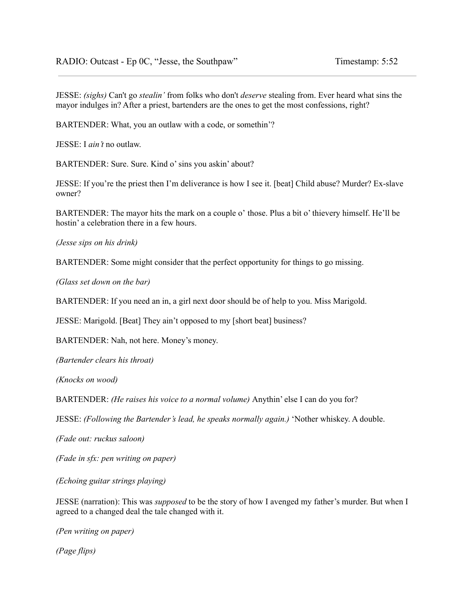JESSE: *(sighs)* Can't go *stealin'* from folks who don't *deserve* stealing from. Ever heard what sins the mayor indulges in? After a priest, bartenders are the ones to get the most confessions, right?

BARTENDER: What, you an outlaw with a code, or somethin'?

JESSE: I *ain't* no outlaw.

BARTENDER: Sure. Sure. Kind o' sins you askin' about?

JESSE: If you're the priest then I'm deliverance is how I see it. [beat] Child abuse? Murder? Ex-slave owner?

BARTENDER: The mayor hits the mark on a couple o' those. Plus a bit o' thievery himself. He'll be hostin' a celebration there in a few hours.

*(Jesse sips on his drink)*

BARTENDER: Some might consider that the perfect opportunity for things to go missing.

*(Glass set down on the bar)*

BARTENDER: If you need an in, a girl next door should be of help to you. Miss Marigold.

JESSE: Marigold. [Beat] They ain't opposed to my [short beat] business?

BARTENDER: Nah, not here. Money's money.

*(Bartender clears his throat)*

*(Knocks on wood)*

BARTENDER: *(He raises his voice to a normal volume)* Anythin' else I can do you for?

JESSE: *(Following the Bartender's lead, he speaks normally again.)* 'Nother whiskey. A double.

*(Fade out: ruckus saloon)*

*(Fade in sfx: pen writing on paper)*

*(Echoing guitar strings playing)*

JESSE (narration): This was *supposed* to be the story of how I avenged my father's murder. But when I agreed to a changed deal the tale changed with it.

*(Pen writing on paper)*

*(Page flips)*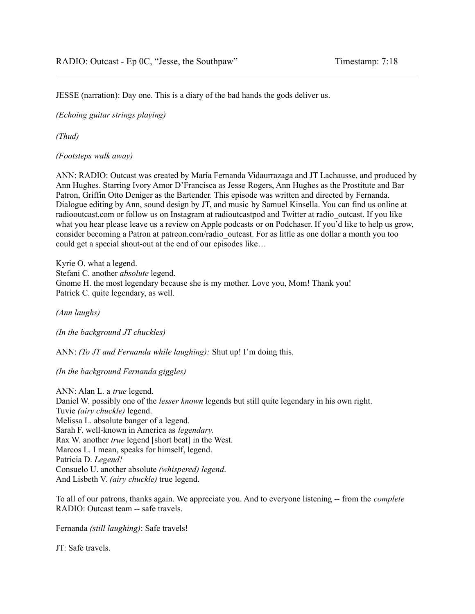JESSE (narration): Day one. This is a diary of the bad hands the gods deliver us.

*(Echoing guitar strings playing)*

*(Thud)*

*(Footsteps walk away)*

ANN: RADIO: Outcast was created by María Fernanda Vidaurrazaga and JT Lachausse, and produced by Ann Hughes. Starring Ivory Amor D'Francisca as Jesse Rogers, Ann Hughes as the Prostitute and Bar Patron, Griffin Otto Deniger as the Bartender. This episode was written and directed by Fernanda. Dialogue editing by Ann, sound design by JT, and music by Samuel Kinsella. You can find us online at radiooutcast.com or follow us on Instagram at radioutcastpod and Twitter at radio\_outcast. If you like what you hear please leave us a review on Apple podcasts or on Podchaser. If you'd like to help us grow, consider becoming a Patron at patreon.com/radio\_outcast. For as little as one dollar a month you too could get a special shout-out at the end of our episodes like…

Kyrie O. what a legend. Stefani C. another *absolute* legend. Gnome H. the most legendary because she is my mother. Love you, Mom! Thank you! Patrick C. quite legendary, as well.

*(Ann laughs)*

*(In the background JT chuckles)*

ANN: *(To JT and Fernanda while laughing):* Shut up! I'm doing this.

*(In the background Fernanda giggles)*

ANN: Alan L. a *true* legend. Daniel W. possibly one of the *lesser known* legends but still quite legendary in his own right. Tuvie *(airy chuckle)* legend. Melissa L. absolute banger of a legend. Sarah F. well-known in America as *legendary.* Rax W. another *true* legend [short beat] in the West. Marcos L. I mean, speaks for himself, legend. Patricia D. *Legend!* Consuelo U. another absolute *(whispered) legend*. And Lisbeth V. *(airy chuckle)* true legend.

To all of our patrons, thanks again. We appreciate you. And to everyone listening -- from the *complete* RADIO: Outcast team -- safe travels.

Fernanda *(still laughing)*: Safe travels!

JT: Safe travels.